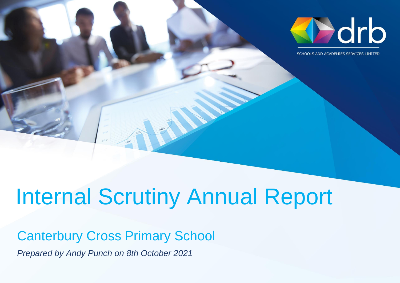

CHOOLS AND ACADEMIES SERVICES LIMITED

# Internal Scrutiny Annual Report

## Canterbury Cross Primary School

*Prepared by Andy Punch on 8th October 2021*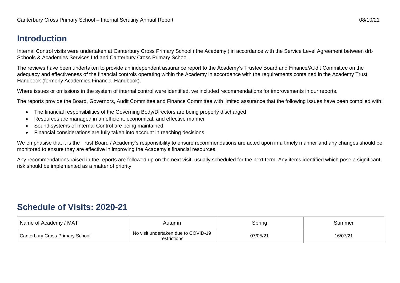#### **Introduction**

Internal Control visits were undertaken at Canterbury Cross Primary School ('the Academy') in accordance with the Service Level Agreement between drb Schools & Academies Services Ltd and Canterbury Cross Primary School.

The reviews have been undertaken to provide an independent assurance report to the Academy's Trustee Board and Finance/Audit Committee on the adequacy and effectiveness of the financial controls operating within the Academy in accordance with the requirements contained in the Academy Trust Handbook (formerly Academies Financial Handbook).

Where issues or omissions in the system of internal control were identified, we included recommendations for improvements in our reports.

The reports provide the Board, Governors, Audit Committee and Finance Committee with limited assurance that the following issues have been complied with:

- The financial responsibilities of the Governing Body/Directors are being properly discharged
- Resources are managed in an efficient, economical, and effective manner
- Sound systems of Internal Control are being maintained
- Financial considerations are fully taken into account in reaching decisions.

We emphasise that it is the Trust Board / Academy's responsibility to ensure recommendations are acted upon in a timely manner and any changes should be monitored to ensure they are effective in improving the Academy's financial resources.

Any recommendations raised in the reports are followed up on the next visit, usually scheduled for the next term. Any items identified which pose a significant risk should be implemented as a matter of priority.

#### **Schedule of Visits: 2020-21**

| Name of Academy / MAT           | Autumn                                              | Spring   | Summer   |
|---------------------------------|-----------------------------------------------------|----------|----------|
| Canterbury Cross Primary School | No visit undertaken due to COVID-19<br>restrictions | 07/05/21 | 16/07/21 |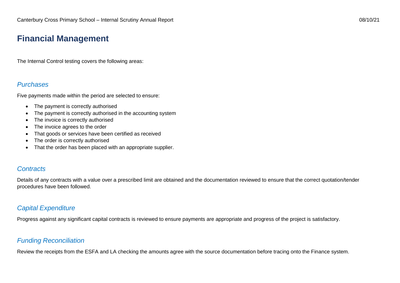#### **Financial Management**

The Internal Control testing covers the following areas:

#### *Purchases*

Five payments made within the period are selected to ensure:

- The payment is correctly authorised
- The payment is correctly authorised in the accounting system
- The invoice is correctly authorised
- The invoice agrees to the order
- That goods or services have been certified as received
- The order is correctly authorised
- That the order has been placed with an appropriate supplier.

#### *Contracts*

Details of any contracts with a value over a prescribed limit are obtained and the documentation reviewed to ensure that the correct quotation/tender procedures have been followed.

#### *Capital Expenditure*

Progress against any significant capital contracts is reviewed to ensure payments are appropriate and progress of the project is satisfactory.

#### *Funding Reconciliation*

Review the receipts from the ESFA and LA checking the amounts agree with the source documentation before tracing onto the Finance system.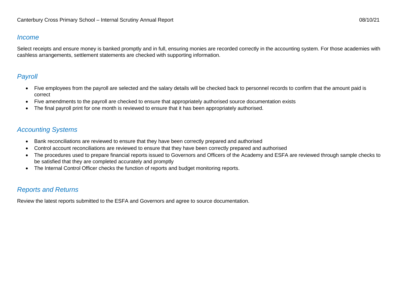#### *Income*

Select receipts and ensure money is banked promptly and in full, ensuring monies are recorded correctly in the accounting system. For those academies with cashless arrangements, settlement statements are checked with supporting information.

#### *Payroll*

- Five employees from the payroll are selected and the salary details will be checked back to personnel records to confirm that the amount paid is correct
- Five amendments to the payroll are checked to ensure that appropriately authorised source documentation exists
- The final payroll print for one month is reviewed to ensure that it has been appropriately authorised.

#### *Accounting Systems*

- Bank reconciliations are reviewed to ensure that they have been correctly prepared and authorised
- Control account reconciliations are reviewed to ensure that they have been correctly prepared and authorised
- The procedures used to prepare financial reports issued to Governors and Officers of the Academy and ESFA are reviewed through sample checks to be satisfied that they are completed accurately and promptly
- The Internal Control Officer checks the function of reports and budget monitoring reports.

#### *Reports and Returns*

Review the latest reports submitted to the ESFA and Governors and agree to source documentation.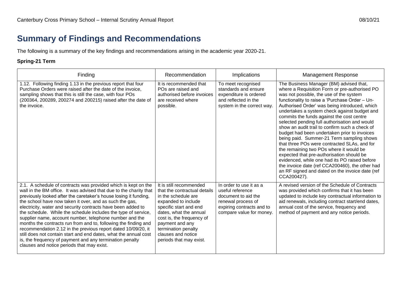### **Summary of Findings and Recommendations**

The following is a summary of the key findings and recommendations arising in the academic year 2020-21.

#### **Spring-21 Term**

| Finding                                                                                                                                                                                                                                                                                                                                                                                                                                                                                                                                                                                                                                                                                                                                                                            | Recommendation                                                                                                                                                                                                                                                                    | Implications                                                                                                                                      | <b>Management Response</b>                                                                                                                                                                                                                                                                                                                                                                                                                                                                                                                                                                                                                                                                                                                                                                                                                        |
|------------------------------------------------------------------------------------------------------------------------------------------------------------------------------------------------------------------------------------------------------------------------------------------------------------------------------------------------------------------------------------------------------------------------------------------------------------------------------------------------------------------------------------------------------------------------------------------------------------------------------------------------------------------------------------------------------------------------------------------------------------------------------------|-----------------------------------------------------------------------------------------------------------------------------------------------------------------------------------------------------------------------------------------------------------------------------------|---------------------------------------------------------------------------------------------------------------------------------------------------|---------------------------------------------------------------------------------------------------------------------------------------------------------------------------------------------------------------------------------------------------------------------------------------------------------------------------------------------------------------------------------------------------------------------------------------------------------------------------------------------------------------------------------------------------------------------------------------------------------------------------------------------------------------------------------------------------------------------------------------------------------------------------------------------------------------------------------------------------|
| 1.12. Following finding 1.13 in the previous report that four<br>Purchase Orders were raised after the date of the invoice.<br>sampling shows that this is still the case, with four POs<br>(200364, 200289, 200274 and 200215) raised after the date of<br>the invoice.                                                                                                                                                                                                                                                                                                                                                                                                                                                                                                           | It is recommended that<br>POs are raised and<br>authorised before invoices<br>are received where<br>possible.                                                                                                                                                                     | To meet recognised<br>standards and ensure<br>expenditure is ordered<br>and reflected in the<br>system in the correct way.                        | The Business Manager (BM) advised that,<br>where a Requisition Form or pre-authorised PO<br>was not possible, the use of the system<br>functionality to raise a 'Purchase Order - Un-<br>Authorised Order' was being introduced, which<br>undertakes a system check against budget and<br>commits the funds against the cost centre<br>selected pending full authorisation and would<br>show an audit trail to confirm such a check of<br>budget had been undertaken prior to invoices<br>being paid. Summer-21 Term sampling shows<br>that three POs were contracted SLAs, and for<br>the remaining two POs where it would be<br>expected that pre-authorisation should be<br>evidenced, while one had its PO raised before<br>the invoice date (ref CCA200460), the other had<br>an RF signed and dated on the invoice date (ref<br>CCA200427). |
| 2.1. A schedule of contracts was provided which is kept on the<br>wall in the BM office. It was advised that due to the charity that<br>previously looked after the caretaker's house losing it funding,<br>the school have now taken it over, and as such the gas,<br>electricity, water and security contracts have been added to<br>the schedule. While the schedule includes the type of service,<br>supplier name, account number, telephone number and the<br>months the contracts run from and to, following the finding and<br>recommendation 2.12 in the previous report dated 10/09/20, it<br>still does not contain start and end dates, what the annual cost<br>is, the frequency of payment and any termination penalty<br>clauses and notice periods that may exist. | It is still recommended<br>that the contractual details<br>in the schedule are<br>expanded to include<br>specific start and end<br>dates, what the annual<br>cost is, the frequency of<br>payment and any<br>termination penalty<br>clauses and notice<br>periods that may exist. | In order to use it as a<br>useful reference<br>document to aid the<br>renewal process of<br>expiring contracts and to<br>compare value for money. | A revised version of the Schedule of Contracts<br>was provided which confirms that it has been<br>updated to include key contractual information to<br>aid renewals, including contract start/end dates,<br>annual cost of the service, frequency and<br>method of payment and any notice periods.                                                                                                                                                                                                                                                                                                                                                                                                                                                                                                                                                |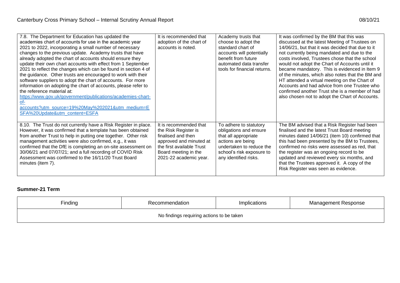| 7.8. The Department for Education has updated the<br>academies chart of accounts for use in the academic year<br>2021 to 2022, incorporating a small number of necessary<br>changes to the previous update. Academy trusts that have<br>already adopted the chart of accounts should ensure they<br>update their own chart accounts with effect from 1 September<br>2021 to reflect the changes which can be found in section 4 of<br>the guidance. Other trusts are encouraged to work with their<br>software suppliers to adopt the chart of accounts. For more<br>information on adopting the chart of accounts, please refer to<br>the reference material at:<br>https://www.gov.uk/government/publications/academies-chart-<br>of-<br>accounts?utm_source=19%20May%202021&utm_medium=E<br>SFA%20Update&utm_content=ESFA | It is recommended that<br>adoption of the chart of<br>accounts is noted.                                                                                                       | Academy trusts that<br>choose to adopt the<br>standard chart of<br>accounts will potentially<br>benefit from future<br>automated data transfer<br>tools for financial returns.  | It was confirmed by the BM that this was<br>discussed at the latest Meeting of Trustees on<br>14/06/21, but that it was decided that due to it<br>not currently being mandated and due to the<br>costs involved, Trustees chose that the school<br>would not adopt the Chart of Accounts until it<br>became mandatory. This is evidenced in Item 9<br>of the minutes, which also notes that the BM and<br>HT attended a virtual meeting on the Chart of<br>Accounts and had advice from one Trustee who<br>confirmed another Trust she is a member of had<br>also chosen not to adopt the Chart of Accounts. |
|------------------------------------------------------------------------------------------------------------------------------------------------------------------------------------------------------------------------------------------------------------------------------------------------------------------------------------------------------------------------------------------------------------------------------------------------------------------------------------------------------------------------------------------------------------------------------------------------------------------------------------------------------------------------------------------------------------------------------------------------------------------------------------------------------------------------------|--------------------------------------------------------------------------------------------------------------------------------------------------------------------------------|---------------------------------------------------------------------------------------------------------------------------------------------------------------------------------|--------------------------------------------------------------------------------------------------------------------------------------------------------------------------------------------------------------------------------------------------------------------------------------------------------------------------------------------------------------------------------------------------------------------------------------------------------------------------------------------------------------------------------------------------------------------------------------------------------------|
| 8.10. The Trust do not currently have a Risk Register in place.<br>However, it was confirmed that a template has been obtained<br>from another Trust to help in putting one together. Other risk<br>management activities were also confirmed, e.g., it was<br>confirmed that the DfE is completing an on-site assessment on<br>30/06/21 and 07/07/21; and a full recording of COVID Risk<br>Assessment was confirmed to the 16/11/20 Trust Board<br>minutes (item 7).                                                                                                                                                                                                                                                                                                                                                       | It is recommended that<br>the Risk Register is<br>finalised and then<br>approved and minuted at<br>the first available Trust<br>Board meeting in the<br>2021-22 academic year. | To adhere to statutory<br>obligations and ensure<br>that all appropriate<br>actions are being<br>undertaken to reduce the<br>school's risk exposure to<br>any identified risks. | The BM advised that a Risk Register had been<br>finalised and the latest Trust Board meeting<br>minutes dated 14/06/21 (item 10) confirmed that<br>this had been presented by the BM to Trustees,<br>confirmed no risks were assessed as red, that<br>the register was an ongoing record to be<br>updated and reviewed every six months, and<br>that the Trustees approved it. A copy of the<br>Risk Register was seen as evidence.                                                                                                                                                                          |

#### **Summer-21 Term**

| Finding                                   | Recommendation | Implications | <b>Management Response</b> |  |
|-------------------------------------------|----------------|--------------|----------------------------|--|
| No findings requiring actions to be taken |                |              |                            |  |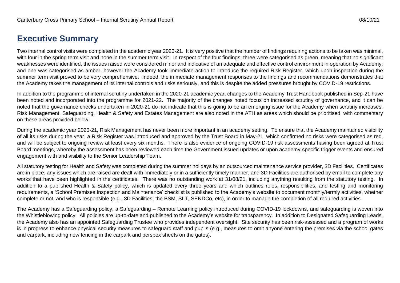#### **Executive Summary**

Two internal control visits were completed in the academic year 2020-21. It is very positive that the number of findings requiring actions to be taken was minimal, with four in the spring term visit and none in the summer term visit. In respect of the four findings: three were categorised as green, meaning that no significant weaknesses were identified, the issues raised were considered minor and indicative of an adequate and effective control environment in operation by Academy; and one was categorised as amber, however the Academy took immediate action to introduce the required Risk Register, which upon inspection during the summer term visit proved to be very comprehensive. Indeed, the immediate management responses to the findings and recommendations demonstrates that the Academy takes the management of its internal controls and risks seriously, and this is despite the added pressures brought by COVID-19 restrictions.

In addition to the programme of internal scrutiny undertaken in the 2020-21 academic year, changes to the Academy Trust Handbook published in Sep-21 have been noted and incorporated into the programme for 2021-22. The majority of the changes noted focus on increased scrutiny of governance, and it can be noted that the governance checks undertaken in 2020-21 do not indicate that this is going to be an emerging issue for the Academy when scrutiny increases. Risk Management, Safeguarding, Health & Safety and Estates Management are also noted in the ATH as areas which should be prioritised, with commentary on these areas provided below.

During the academic year 2020-21, Risk Management has never been more important in an academy setting. To ensure that the Academy maintained visibility of all its risks during the year, a Risk Register was introduced and approved by the Trust Board in May-21, which confirmed no risks were categorised as red, and will be subject to ongoing review at least every six months. There is also evidence of ongoing COVID-19 risk assessments having been agreed at Trust Board meetings, whereby the assessment has been reviewed each time the Government issued updates or upon academy-specific trigger events and ensured engagement with and visibility to the Senior Leadership Team.

All statutory testing for Health and Safety was completed during the summer holidays by an outsourced maintenance service provider, 3D Facilities. Certificates are in place, any issues which are raised are dealt with immediately or in a sufficiently timely manner, and 3D Facilities are authorised by email to complete any works that have been highlighted in the certificates. There was no outstanding work at 31/08/21, including anything resulting from the statutory testing. In addition to a published Health & Safety policy, which is updated every three years and which outlines roles, responsibilities, and testing and monitoring requirements, a 'School Premises Inspection and Maintenance' checklist is published to the Academy's website to document monthly/termly activities, whether complete or not, and who is responsible (e.g., 3D Facilities, the BSM, SLT, SENDCo, etc), in order to manage the completion of all required activities.

The Academy has a Safeguarding policy, a Safeguarding – Remote Learning policy introduced during COVID-19 lockdowns, and safeguarding is woven into the Whistleblowing policy. All policies are up-to-date and published to the Academy's website for transparency. In addition to Designated Safeguarding Leads, the Academy also has an appointed Safeguarding Trustee who provides independent oversight. Site security has been risk-assessed and a program of works is in progress to enhance physical security measures to safeguard staff and pupils (e.g., measures to omit anyone entering the premises via the school gates and carpark, including new fencing in the carpark and perspex sheets on the gates).